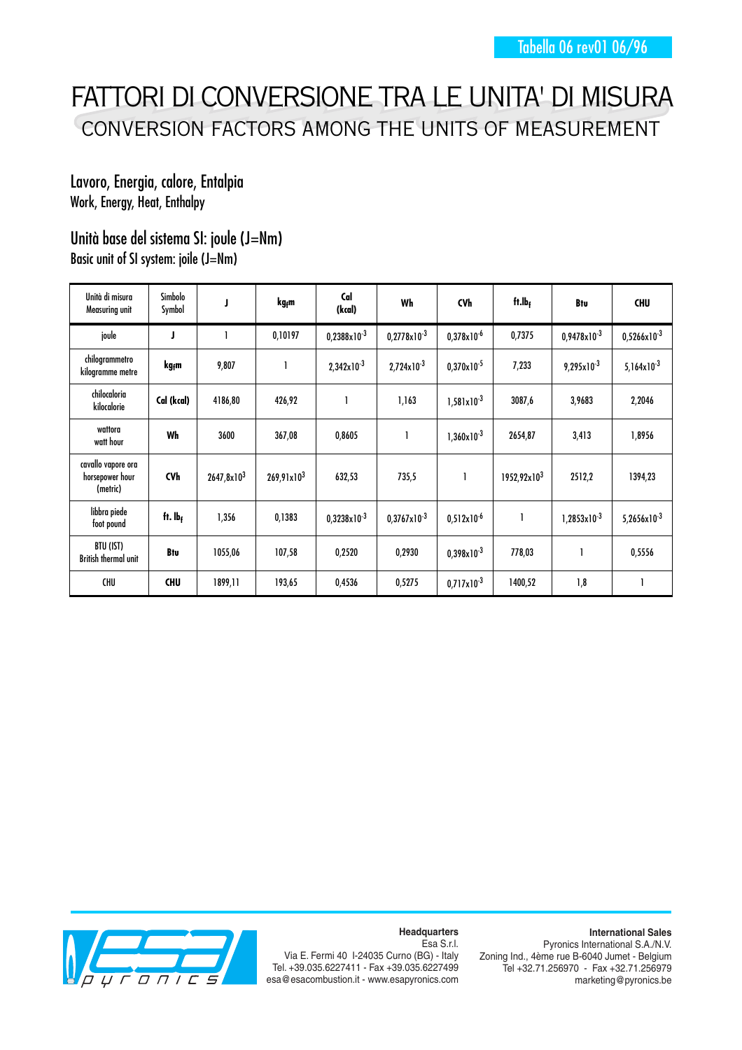## FATTORI DI CONVERSIONE TRA LE UNITA' DI MISURA CONVERSION FACTORS AMONG THE UNITS OF MEASUREMENT

Lavoro, Energia, calore, Entalpia Work, Energy, Heat, Enthalpy

## Unità base del sistema SI: joule (J=Nm) Basic unit of SI system: joile (J=Nm)

| Unità di misura<br>Measuring unit                 | Simbolo<br>Symbol                 |                        | kg <sub>f</sub> m      | Cal<br>(kcal)           | Wh                      | CVh                    | ft.lb <sub>f</sub>      | Btu                     | <b>CHU</b>              |
|---------------------------------------------------|-----------------------------------|------------------------|------------------------|-------------------------|-------------------------|------------------------|-------------------------|-------------------------|-------------------------|
| joule                                             | J                                 |                        | 0,10197                | $0,2388 \times 10^{-3}$ | $0,2778\times10^{-3}$   | $0,378\times10^{-6}$   | 0,7375                  | $0,9478\times10^{-3}$   | $0,5266 \times 10^{-3}$ |
| chilogrammetro<br>kilogramme metre                | kg <sub>f</sub> m                 | 9,807                  |                        | $2,342 \times 10^{-3}$  | $2,724 \times 10^{-3}$  | $0,370 \times 10^{-5}$ | 7,233                   | $9,295x10^{-3}$         | $5,164 \times 10^{-3}$  |
| chilocaloria<br>kilocalorie                       | Cal (kcal)                        | 4186,80                | 426,92                 |                         | 1,163                   | $1,581 \times 10^{-3}$ | 3087,6                  | 3,9683                  | 2,2046                  |
| wattora<br>watt hour                              | Wh                                | 3600                   | 367,08                 | 0,8605                  |                         | $1,360x10^{-3}$        | 2654,87                 | 3,413                   | 1,8956                  |
| cavallo vapore ora<br>horsepower hour<br>(metric) | CVh                               | 2647,8x10 <sup>3</sup> | 269,91x10 <sup>3</sup> | 632,53                  | 735,5                   |                        | 1952,92x10 <sup>3</sup> | 2512,2                  | 1394,23                 |
| libbra piede<br>foot pound                        | ft. $I_{\mathbf{b}_{\mathbf{f}}}$ | 1,356                  | 0,1383                 | $0,3238\times10^{-3}$   | $0.3767 \times 10^{-3}$ | $0.512 \times 10^{-6}$ |                         | $1,2853 \times 10^{-3}$ | $5,2656 \times 10^{-3}$ |
| BTU (IST)<br><b>British thermal unit</b>          | Btu                               | 1055,06                | 107,58                 | 0,2520                  | 0,2930                  | $0,398 \times 10^{-3}$ | 778,03                  |                         | 0,5556                  |
| <b>CHU</b>                                        | <b>CHU</b>                        | 1899,11                | 193,65                 | 0,4536                  | 0,5275                  | $0,717 \times 10^{-3}$ | 1400,52                 | 1,8                     |                         |



**Headquarters** Esa S.r.l.

Via E. Fermi 40 I-24035 Curno (BG) - Italy Tel. +39.035.6227411 - Fax +39.035.6227499 esa@esacombustion.it - www.esapyronics.com

Pyronics International S.A./N.V. Zoning Ind., 4ème rue B-6040 Jumet - Belgium Tel +32.71.256970 - Fax +32.71.256979 marketing@pyronics.be

## **International Sales**